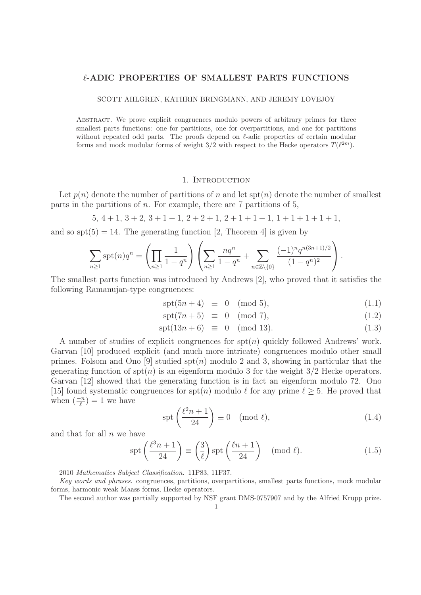# -**-ADIC PROPERTIES OF SMALLEST PARTS FUNCTIONS**

SCOTT AHLGREN, KATHRIN BRINGMANN, AND JEREMY LOVEJOY

Abstract. We prove explicit congruences modulo powers of arbitrary primes for three smallest parts functions: one for partitions, one for overpartitions, and one for partitions without repeated odd parts. The proofs depend on  $\ell$ -adic properties of certain modular forms and mock modular forms of weight  $3/2$  with respect to the Hecke operators  $T(\ell^{2m})$ .

#### 1. Introduction

Let  $p(n)$  denote the number of partitions of n and let  $\text{spt}(n)$  denote the number of smallest parts in the partitions of  $n$ . For example, there are  $7$  partitions of  $5$ ,

 $5, 4+1, 3+2, 3+1+1, 2+2+1, 2+1+1+1, 1+1+1+1+1,$ 

and so  $spt(5) = 14$ . The generating function [2, Theorem 4] is given by

$$
\sum_{n\geq 1} \text{spt}(n) q^n = \left(\prod_{n\geq 1} \frac{1}{1-q^n}\right) \left(\sum_{n\geq 1} \frac{nq^n}{1-q^n} + \sum_{n\in\mathbb{Z}\backslash\{0\}} \frac{(-1)^n q^{n(3n+1)/2}}{(1-q^n)^2}\right).
$$

The smallest parts function was introduced by Andrews [2], who proved that it satisfies the following Ramanujan-type congruences:

$$
\operatorname{spt}(5n+4) \equiv 0 \pmod{5},\tag{1.1}
$$

$$
\operatorname{spt}(7n+5) \equiv 0 \pmod{7},\tag{1.2}
$$

$$
spt(13n + 6) \equiv 0 \pmod{13}.
$$
 (1.3)

A number of studies of explicit congruences for  $spt(n)$  quickly followed Andrews' work. Garvan [10] produced explicit (and much more intricate) congruences modulo other small primes. Folsom and Ono [9] studied  $spt(n)$  modulo 2 and 3, showing in particular that the generating function of  $\text{spt}(n)$  is an eigenform modulo 3 for the weight  $3/2$  Hecke operators. Garvan [12] showed that the generating function is in fact an eigenform modulo 72. Ono [15] found systematic congruences for spt(n) modulo  $\ell$  for any prime  $\ell \geq 5$ . He proved that when  $\left(\frac{-n}{\ell}\right) = 1$  we have

$$
\operatorname{spt}\left(\frac{\ell^2 n + 1}{24}\right) \equiv 0 \pmod{\ell},\tag{1.4}
$$

and that for all  $n$  we have

$$
\operatorname{spt}\left(\frac{\ell^3 n + 1}{24}\right) \equiv \left(\frac{3}{\ell}\right) \operatorname{spt}\left(\frac{\ell n + 1}{24}\right) \pmod{\ell}.
$$
 (1.5)

<sup>2010</sup> Mathematics Subject Classification. 11P83, 11F37.

Key words and phrases. congruences, partitions, overpartitions, smallest parts functions, mock modular forms, harmonic weak Maass forms, Hecke operators.

The second author was partially supported by NSF grant DMS-0757907 and by the Alfried Krupp prize.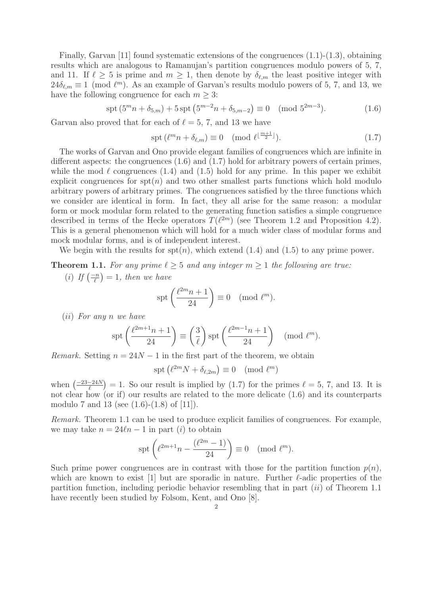Finally, Garvan [11] found systematic extensions of the congruences  $(1.1)-(1.3)$ , obtaining results which are analogous to Ramanujan's partition congruences modulo powers of 5, 7, and 11. If  $\ell \geq 5$  is prime and  $m \geq 1$ , then denote by  $\delta_{\ell,m}$  the least positive integer with  $24\delta_{\ell,m} \equiv 1 \pmod{\ell^m}$ . As an example of Garvan's results modulo powers of 5, 7, and 13, we have the following congruence for each  $m \geq 3$ :

$$
\operatorname{spt}(5^m n + \delta_{5,m}) + 5 \operatorname{spt}(5^{m-2} n + \delta_{5,m-2}) \equiv 0 \pmod{5^{2m-3}}.
$$
 (1.6)

Garvan also proved that for each of  $\ell = 5, 7$ , and 13 we have

$$
\operatorname{spt}(\ell^m n + \delta_{\ell,m}) \equiv 0 \pmod{\ell^{\lfloor \frac{m+1}{2} \rfloor}}.
$$
\n(1.7)

The works of Garvan and Ono provide elegant families of congruences which are infinite in different aspects: the congruences  $(1.6)$  and  $(1.7)$  hold for arbitrary powers of certain primes, while the mod  $\ell$  congruences (1.4) and (1.5) hold for any prime. In this paper we exhibit explicit congruences for  $spt(n)$  and two other smallest parts functions which hold modulo arbitrary powers of arbitrary primes. The congruences satisfied by the three functions which we consider are identical in form. In fact, they all arise for the same reason: a modular form or mock modular form related to the generating function satisfies a simple congruence described in terms of the Hecke operators  $T(\ell^{2m})$  (see Theorem 1.2 and Proposition 4.2). This is a general phenomenon which will hold for a much wider class of modular forms and mock modular forms, and is of independent interest.

We begin with the results for  $spt(n)$ , which extend  $(1.4)$  and  $(1.5)$  to any prime power.

**Theorem 1.1.** For any prime  $\ell \geq 5$  and any integer  $m \geq 1$  the following are true.

(i) If  $\left(\frac{-n}{\ell}\right) = 1$ , then we have

$$
\operatorname{spt}\left(\frac{\ell^{2m}n+1}{24}\right) \equiv 0 \pmod{\ell^m}.
$$

(ii) For any n we have

$$
\operatorname{spt}\left(\frac{\ell^{2m+1}n+1}{24}\right) \equiv \left(\frac{3}{\ell}\right) \operatorname{spt}\left(\frac{\ell^{2m-1}n+1}{24}\right) \pmod{\ell^m}.
$$

*Remark.* Setting  $n = 24N - 1$  in the first part of the theorem, we obtain

$$
\operatorname{spt} \left( \ell^{2m} N + \delta_{\ell, 2m} \right) \equiv 0 \pmod{\ell^m}
$$

when  $\left(\frac{-23-24N}{\ell}\right)=1$ . So our result is implied by (1.7) for the primes  $\ell=5, 7$ , and 13. It is not clear how (or if) our results are related to the more delicate (1.6) and its counterparts modulo 7 and 13 (see (1.6)-(1.8) of [11]).

Remark. Theorem 1.1 can be used to produce explicit families of congruences. For example, we may take  $n = 24\ell n - 1$  in part (*i*) to obtain

$$
\operatorname{spt}\left(\ell^{2m+1}n - \frac{(\ell^{2m}-1)}{24}\right) \equiv 0 \pmod{\ell^m}.
$$

Such prime power congruences are in contrast with those for the partition function  $p(n)$ . which are known to exist [1] but are sporadic in nature. Further  $\ell$ -adic properties of the partition function, including periodic behavior resembling that in part  $(ii)$  of Theorem 1.1 have recently been studied by Folsom, Kent, and Ono [8].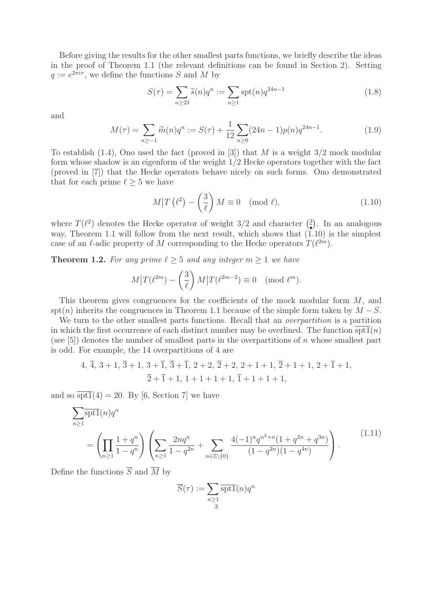Before giving the results for the other smallest parts functions, we briefly describe the ideas in the proof of Theorem 1.1 (the relevant definitions can be found in Section 2). Setting  $q := e^{2\pi i \tau}$ , we define the functions S and M by

$$
S(\tau) = \sum_{n \ge 23} \tilde{s}(n) q^n := \sum_{n \ge 1} \operatorname{spt}(n) q^{24n - 1}
$$
\n(1.8)

and

$$
M(\tau) = \sum_{n \ge -1} \widetilde{m}(n)q^n := S(\tau) + \frac{1}{12} \sum_{n \ge 0} (24n - 1)p(n)q^{24n - 1}.
$$
 (1.9)

To establish  $(1.4)$ , Ono used the fact (proved in [3]) that M is a weight  $3/2$  mock modular form whose shadow is an eigenform of the weight 1/2 Hecke operators together with the fact (proved in [7]) that the Hecke operators behave nicely on such forms. Ono demonstrated that for each prime  $\ell \geq 5$  we have

$$
M\left|T\left(\ell^2\right)-\left(\frac{3}{\ell}\right)M\equiv 0\pmod{\ell},\tag{1.10}
$$

where  $T(\ell^2)$  denotes the Hecke operator of weight 3/2 and character  $\binom{3}{2}$ . In an analogous way, Theorem 1.1 will follow from the next result, which shows that  $(1.10)$  is the simplest case of an  $\ell$ -adic property of M corresponding to the Hecke operators  $T(\ell^{2m})$ .

**Theorem 1.2.** For any prime  $\ell \geq 5$  and any integer  $m \geq 1$  we have

$$
M\big|T(\ell^{2m}) - \left(\frac{3}{\ell}\right)M\big|T(\ell^{2m-2}) \equiv 0 \pmod{\ell^m}.
$$

This theorem gives congruences for the coefficients of the mock modular form M, and spt(n) inherits the congruences in Theorem 1.1 because of the simple form taken by  $M-S$ .

We turn to the other smallest parts functions. Recall that an *overpartition* is a partition in which the first occurrence of each distinct number may be overlined. The function  $\frac{\text{spt1}(n)}{\text{spt1}}$ (see  $[5]$ ) denotes the number of smallest parts in the overpartitions of n whose smallest part is odd. For example, the 14 overpartitions of 4 are

$$
4, \overline{4}, 3+1, \overline{3}+1, 3+\overline{1}, \overline{3}+\overline{1}, 2+2, \overline{2}+2, 2+1+1, \overline{2}+1+1, 2+\overline{1}+1,
$$
  

$$
\overline{2}+\overline{1}+1, 1+1+1+1, \overline{1}+1+1+1,
$$

and so  $\overline{\text{spt1}}(4) = 20$ . By [6, Section 7] we have

$$
\sum_{n\geq 1} \overline{\text{spt1}}(n) q^n
$$
\n
$$
= \left(\prod_{n\geq 1} \frac{1+q^n}{1-q^n} \right) \left(\sum_{n\geq 1} \frac{2nq^n}{1-q^{2n}} + \sum_{n\in\mathbb{Z}\backslash\{0\}} \frac{4(-1)^n q^{n^2+n} (1+q^{2n}+q^{3n})}{(1-q^{2n})(1-q^{4n})}\right).
$$
\n(1.11)

Define the functions  $\overline{S}$  and  $\overline{M}$  by

$$
\overline{S}(\tau) := \sum_{n \ge 1 \atop 3} \overline{\text{spt1}}(n) q^n
$$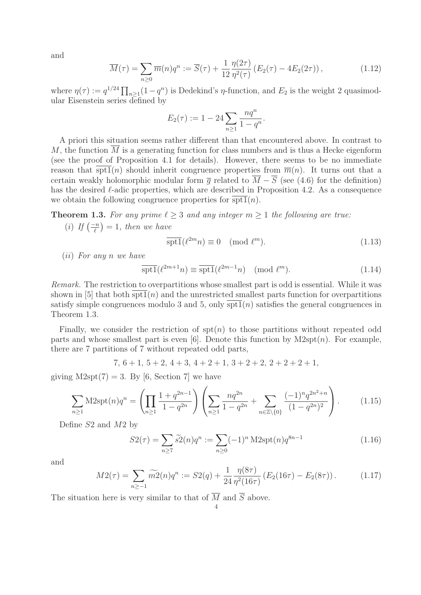and

$$
\overline{M}(\tau) = \sum_{n\geq 0} \overline{m}(n) q^n := \overline{S}(\tau) + \frac{1}{12} \frac{\eta(2\tau)}{\eta^2(\tau)} \left( E_2(\tau) - 4E_2(2\tau) \right),\tag{1.12}
$$

where  $\eta(\tau) := q^{1/24} \prod_{n \geq 1} (1 - q^n)$  is Dedekind's  $\eta$ -function, and  $E_2$  is the weight 2 quasimodular Eisenstein series defined by

$$
E_2(\tau) := 1 - 24 \sum_{n \ge 1} \frac{nq^n}{1 - q^n}.
$$

A priori this situation seems rather different than that encountered above. In contrast to M, the function  $\overline{M}$  is a generating function for class numbers and is thus a Hecke eigenform (see the proof of Proposition 4.1 for details). However, there seems to be no immediate reason that  $\overline{\text{split}}(n)$  should inherit congruence properties from  $\overline{m}(n)$ . It turns out that a certain weakly holomorphic modular form  $\overline{q}$  related to  $\overline{M} - \overline{S}$  (see (4.6) for the definition) has the desired  $\ell$ -adic properties, which are described in Proposition 4.2. As a consequence we obtain the following congruence properties for  $\overline{\text{spt1}}(n)$ .

**Theorem 1.3.** For any prime  $\ell \geq 3$  and any integer  $m \geq 1$  the following are true.

(i) If  $\left(\frac{-n}{\ell}\right) = 1$ , then we have

$$
\overline{\text{spt1}}(\ell^{2m}n) \equiv 0 \pmod{\ell^m}.
$$
\n(1.13)

(ii) For any n we have

$$
\overline{\text{spt1}}(\ell^{2m+1}n) \equiv \overline{\text{spt1}}(\ell^{2m-1}n) \pmod{\ell^m}.
$$
 (1.14)

Remark. The restriction to overpartitions whose smallest part is odd is essential. While it was shown in  $[5]$  that both spt1(n) and the unrestricted smallest parts function for overpartitions satisfy simple congruences modulo 3 and 5, only  $\overline{\text{spt1}}(n)$  satisfies the general congruences in Theorem 1.3.

Finally, we consider the restriction of  $spt(n)$  to those partitions without repeated odd parts and whose smallest part is even [6]. Denote this function by  $M2spt(n)$ . For example, there are 7 partitions of 7 without repeated odd parts,

$$
7, 6+1, 5+2, 4+3, 4+2+1, 3+2+2, 2+2+2+1,
$$

giving  $M2spt(7) = 3$ . By [6, Section 7] we have

$$
\sum_{n\geq 1} M2spt(n)q^n = \left(\prod_{n\geq 1} \frac{1+q^{2n-1}}{1-q^{2n}}\right)\left(\sum_{n\geq 1} \frac{nq^{2n}}{1-q^{2n}} + \sum_{n\in\mathbb{Z}\backslash\{0\}} \frac{(-1)^n q^{2n^2+n}}{(1-q^{2n})^2}\right). \tag{1.15}
$$

Define S2 and M2 by

$$
S2(\tau) = \sum_{n \ge 7} \tilde{s}2(n)q^n := \sum_{n \ge 0} (-1)^n \text{M2spt}(n) q^{8n-1}
$$
 (1.16)

and

$$
M2(\tau) = \sum_{n \ge -1} \widetilde{m2}(n)q^n := S2(q) + \frac{1}{24} \frac{\eta(8\tau)}{\eta^2(16\tau)} \left( E_2(16\tau) - E_2(8\tau) \right). \tag{1.17}
$$

The situation here is very similar to that of  $\overline{M}$  and  $\overline{S}$  above.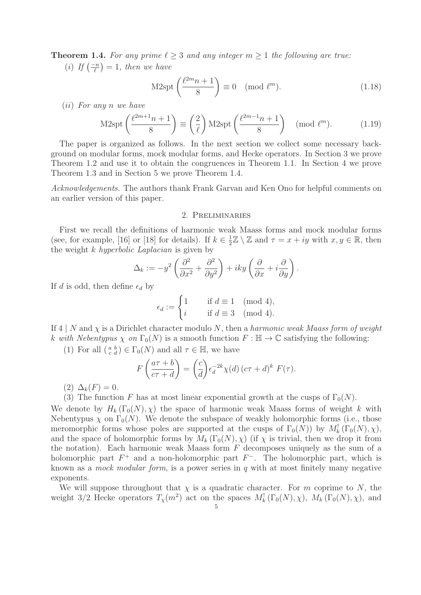**Theorem 1.4.** For any prime  $\ell \geq 3$  and any integer  $m \geq 1$  the following are true.

(i) If  $\left(\frac{-n}{\ell}\right) = 1$ , then we have

$$
M2\mathrm{spt}\left(\frac{\ell^{2m}n+1}{8}\right) \equiv 0 \pmod{\ell^m}.\tag{1.18}
$$

(ii) For any n we have

M2spt
$$
\left(\frac{\ell^{2m+1}n+1}{8}\right) \equiv \left(\frac{2}{\ell}\right) \text{M2spt}\left(\frac{\ell^{2m-1}n+1}{8}\right) \pmod{\ell^m}.
$$
 (1.19)

The paper is organized as follows. In the next section we collect some necessary background on modular forms, mock modular forms, and Hecke operators. In Section 3 we prove Theorem 1.2 and use it to obtain the congruences in Theorem 1.1. In Section 4 we prove Theorem 1.3 and in Section 5 we prove Theorem 1.4.

Acknowledgements. The authors thank Frank Garvan and Ken Ono for helpful comments on an earlier version of this paper.

### 2. Preliminaries

First we recall the definitions of harmonic weak Maass forms and mock modular forms (see, for example, [16] or [18] for details). If  $k \in \frac{1}{2}\mathbb{Z} \setminus \mathbb{Z}$  and  $\tau = x + iy$  with  $x, y \in \mathbb{R}$ , then the weight k hyperbolic Laplacian is given by

$$
\Delta_k := -y^2 \left( \frac{\partial^2}{\partial x^2} + \frac{\partial^2}{\partial y^2} \right) + iky \left( \frac{\partial}{\partial x} + i \frac{\partial}{\partial y} \right).
$$

If d is odd, then define  $\epsilon_d$  by

$$
\epsilon_d := \begin{cases} 1 & \text{if } d \equiv 1 \pmod{4}, \\ i & \text{if } d \equiv 3 \pmod{4}. \end{cases}
$$

If  $4 \mid N$  and  $\chi$  is a Dirichlet character modulo N, then a harmonic weak Maass form of weight k with Nebentypus  $\chi$  on  $\Gamma_0(N)$  is a smooth function  $F : \mathbb{H} \to \mathbb{C}$  satisfying the following:

(1) For all  $\left(\begin{smallmatrix} a & b \\ c & d \end{smallmatrix}\right) \in \Gamma_0(N)$  and all  $\tau \in \mathbb{H}$ , we have

$$
F\left(\frac{a\tau+b}{c\tau+d}\right) = \left(\frac{c}{d}\right)\epsilon_d^{-2k}\chi(d)\left(c\tau+d\right)^k F(\tau).
$$

(2)  $\Delta_k(F) = 0.$ 

(3) The function F has at most linear exponential growth at the cusps of  $\Gamma_0(N)$ .

We denote by  $H_k(\Gamma_0(N), \chi)$  the space of harmonic weak Maass forms of weight k with Nebentypus  $\chi$  on  $\Gamma_0(N)$ . We denote the subspace of weakly holomorphic forms (i.e., those meromorphic forms whose poles are supported at the cusps of  $\Gamma_0(N)$ ) by  $M_k^{\dagger}(\Gamma_0(N), \chi)$ , and the space of holomorphic forms by  $M_k(\Gamma_0(N), \chi)$  (if  $\chi$  is trivial, then we drop it from the notation). Each harmonic weak Maass form  $F$  decomposes uniquely as the sum of a holomorphic part  $F^+$  and a non-holomorphic part  $F^-$ . The holomorphic part, which is known as a *mock modular form*, is a power series in q with at most finitely many negative exponents.

We will suppose throughout that  $\chi$  is a quadratic character. For m coprime to N, the weight 3/2 Hecke operators  $T_{\chi}(m^2)$  act on the spaces  $M_k^! (\Gamma_0(N), \chi)$ ,  $M_k^* (\Gamma_0(N), \chi)$ , and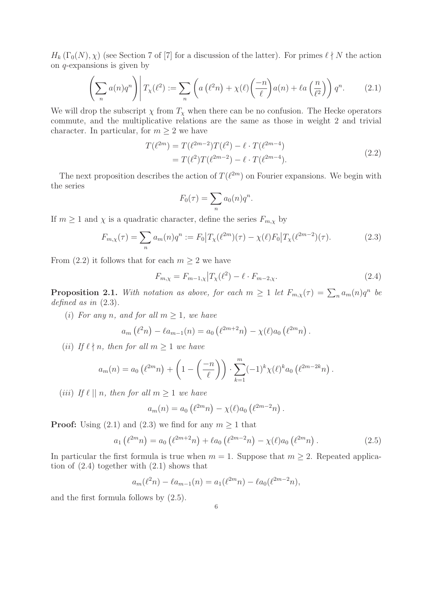$H_k(\Gamma_0(N), \chi)$  (see Section 7 of [7] for a discussion of the latter). For primes  $\ell \nmid N$  the action on q-expansions is given by

$$
\left(\sum_{n} a(n)q^{n}\right) \middle| T_{\chi}(\ell^{2}) := \sum_{n} \left(a\left(\ell^{2}n\right) + \chi(\ell)\left(\frac{-n}{\ell}\right)a(n) + \ell a\left(\frac{n}{\ell^{2}}\right)\right) q^{n}.\tag{2.1}
$$

We will drop the subscript  $\chi$  from  $T_{\chi}$  when there can be no confusion. The Hecke operators commute, and the multiplicative relations are the same as those in weight 2 and trivial character. In particular, for  $m \geq 2$  we have

$$
T(\ell^{2m}) = T(\ell^{2m-2})T(\ell^2) - \ell \cdot T(\ell^{2m-4})
$$
  
=  $T(\ell^2)T(\ell^{2m-2}) - \ell \cdot T(\ell^{2m-4}).$  (2.2)

The next proposition describes the action of  $T(\ell^{2m})$  on Fourier expansions. We begin with the series

$$
F_0(\tau) = \sum_n a_0(n)q^n.
$$

If  $m \geq 1$  and  $\chi$  is a quadratic character, define the series  $F_{m,\chi}$  by

$$
F_{m,\chi}(\tau) = \sum_{n} a_m(n) q^n := F_0 \big| T_{\chi}(\ell^{2m})(\tau) - \chi(\ell) F_0 \big| T_{\chi}(\ell^{2m-2})(\tau). \tag{2.3}
$$

From (2.2) it follows that for each  $m \geq 2$  we have

$$
F_{m,\chi} = F_{m-1,\chi} \Big| T_{\chi}(\ell^2) - \ell \cdot F_{m-2,\chi}.
$$
 (2.4)

**Proposition 2.1.** With notation as above, for each  $m \ge 1$  let  $F_{m,\chi}(\tau) = \sum_n a_m(n)q^n$  be defined as in (2.3).

(i) For any n, and for all  $m \geq 1$ , we have

$$
a_m(\ell^2 n) - \ell a_{m-1}(n) = a_0(\ell^{2m+2}n) - \chi(\ell)a_0(\ell^{2m}n).
$$

(*ii*) If  $\ell \nmid n$ , then for all  $m \geq 1$  we have

$$
a_m(n) = a_0 \left( \ell^{2m} n \right) + \left( 1 - \left( \frac{-n}{\ell} \right) \right) \cdot \sum_{k=1}^m (-1)^k \chi(\ell)^k a_0 \left( \ell^{2m-2k} n \right).
$$

(*iii*) If  $\ell \mid n$ , then for all  $m \geq 1$  we have

$$
a_m(n) = a_0 \left( \ell^{2m} n \right) - \chi(\ell) a_0 \left( \ell^{2m-2} n \right).
$$

**Proof:** Using (2.1) and (2.3) we find for any  $m \ge 1$  that

$$
a_1(\ell^{2m}n) = a_0(\ell^{2m+2}n) + \ell a_0(\ell^{2m-2}n) - \chi(\ell)a_0(\ell^{2m}n).
$$
 (2.5)

In particular the first formula is true when  $m = 1$ . Suppose that  $m \geq 2$ . Repeated application of (2.4) together with (2.1) shows that

$$
a_m(\ell^2 n) - \ell a_{m-1}(n) = a_1(\ell^{2m} n) - \ell a_0(\ell^{2m-2} n),
$$

and the first formula follows by (2.5).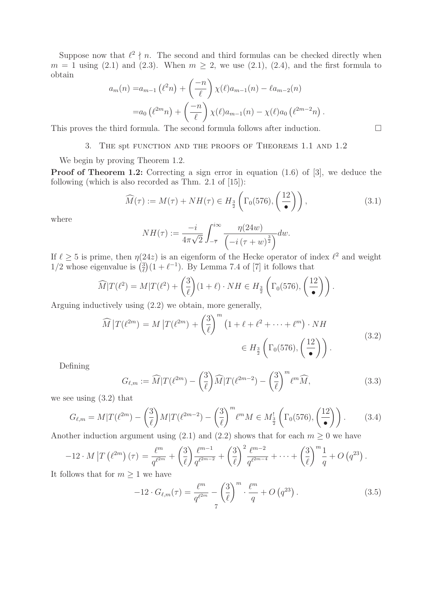Suppose now that  $\ell^2 \nmid n$ . The second and third formulas can be checked directly when  $m = 1$  using (2.1) and (2.3). When  $m \geq 2$ , we use (2.1), (2.4), and the first formula to obtain  $\overline{a}$  $\lambda$ 

$$
a_m(n) = a_{m-1} (\ell^2 n) + \left(\frac{-n}{\ell}\right) \chi(\ell) a_{m-1}(n) - \ell a_{m-2}(n)
$$
  
=  $a_0 (\ell^{2m} n) + \left(\frac{-n}{\ell}\right) \chi(\ell) a_{m-1}(n) - \chi(\ell) a_0 (\ell^{2m-2} n)$ 

This proves the third formula. The second formula follows after induction.  $\Box$ 

## 3. The spt function and the proofs of Theorems 1.1 and 1.2

We begin by proving Theorem 1.2.

**Proof of Theorem 1.2:** Correcting a sign error in equation  $(1.6)$  of [3], we deduce the following (which is also recorded as Thm. 2.1 of [15]):

$$
\widehat{M}(\tau) := M(\tau) + NH(\tau) \in H_{\frac{3}{2}}\left(\Gamma_0(576), \left(\frac{12}{\bullet}\right)\right),\tag{3.1}
$$

where

$$
NH(\tau) := \frac{-i}{4\pi\sqrt{2}} \int_{-\overline{\tau}}^{i\infty} \frac{\eta(24w)}{\left(-i(\tau+w)^{\frac{3}{2}}\right)} dw.
$$

If  $\ell \geq 5$  is prime, then  $\eta(24z)$  is an eigenform of the Hecke operator of index  $\ell^2$  and weight  $1/2$  whose eigenvalue is  $\left(\frac{3}{\ell}\right)(1+\ell^{-1})$ . By Lemma 7.4 of [7] it follows that

$$
\widehat{M}|T(\ell^2) = M|T(\ell^2) + \left(\frac{3}{\ell}\right)(1+\ell) \cdot NH \in H_{\frac{3}{2}}\left(\Gamma_0(576), \left(\frac{12}{\bullet}\right)\right).
$$

Arguing inductively using (2.2) we obtain, more generally,

$$
\widehat{M}|T(\ell^{2m}) = M|T(\ell^{2m}) + \left(\frac{3}{\ell}\right)^m \left(1 + \ell + \ell^2 + \dots + \ell^m\right) \cdot NH
$$
\n
$$
\in H_{\frac{3}{2}}\left(\Gamma_0(576), \left(\frac{12}{\bullet}\right)\right). \tag{3.2}
$$

Defining

$$
G_{\ell,m} := \widehat{M}|T(\ell^{2m}) - \left(\frac{3}{\ell}\right)\widehat{M}|T(\ell^{2m-2}) - \left(\frac{3}{\ell}\right)^m \ell^m \widehat{M},\tag{3.3}
$$

we see using (3.2) that

$$
G_{\ell,m} = M|T(\ell^{2m}) - \left(\frac{3}{\ell}\right)M|T(\ell^{2m-2}) - \left(\frac{3}{\ell}\right)^m \ell^m M \in M_{\frac{3}{2}}\left(\Gamma_0(576), \left(\frac{12}{\bullet}\right)\right). \tag{3.4}
$$

Another induction argument using (2.1) and (2.2) shows that for each  $m \geq 0$  we have

$$
-12 \cdot M \left| T \left( \ell^{2m} \right) (\tau) \right| = \frac{\ell^m}{q^{\ell^{2m}}} + \left( \frac{3}{\ell} \right) \frac{\ell^{m-1}}{q^{\ell^{2m-2}}} + \left( \frac{3}{\ell} \right)^2 \frac{\ell^{m-2}}{q^{\ell^{2m-4}}} + \dots + \left( \frac{3}{\ell} \right)^m \frac{1}{q} + O \left( q^{23} \right).
$$
\nNow, that for  $m > 1$ , we have

It follows that for  $m \geq 1$  we have

$$
-12 \cdot G_{\ell,m}(\tau) = \frac{\ell^m}{q^{\ell^{2m}}} - \left(\frac{3}{\ell}\right)^m \cdot \frac{\ell^m}{q} + O\left(q^{23}\right). \tag{3.5}
$$

.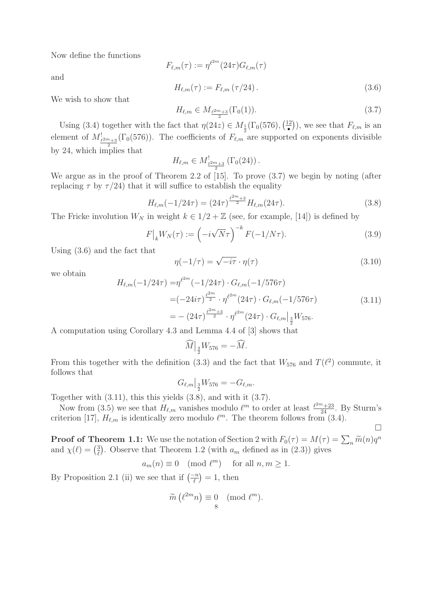Now define the functions

$$
F_{\ell,m}(\tau) := \eta^{\ell^{2m}}(24\tau) G_{\ell,m}(\tau)
$$

$$
H_{\ell,m}(\tau) := F_{\ell,m}(\tau/24).
$$
\n(3.6)

We wish to show that

and

$$
H_{\ell,m} \in M_{\frac{\ell^{2m}+3}{2}}(\Gamma_0(1)).
$$
\n(3.7)

Using (3.4) together with the fact that  $\eta(24z) \in M_{\frac{1}{2}}(\Gamma_0(576), \frac{12}{100})$ •  $(\cdot)$ , we see that  $F_{\ell,m}$  is an element of  $M_{\ell^{2m}+3}^{!}(\Gamma_0(576))$ . The coefficients of  $F_{\ell,m}$  are supported on exponents divisible 2 by 24, which implies that

$$
H_{\ell,m} \in M^!_{\frac{\ell^{2m}+3}{2}}\left(\Gamma_0(24)\right).
$$

We argue as in the proof of Theorem 2.2 of [15]. To prove (3.7) we begin by noting (after replacing  $\tau$  by  $\tau/24$ ) that it will suffice to establish the equality

$$
H_{\ell,m}(-1/24\tau) = (24\tau)^{\frac{\ell^{2m}+3}{2}} H_{\ell,m}(24\tau). \tag{3.8}
$$

The Fricke involution  $W_N$  in weight  $k \in 1/2 + \mathbb{Z}$  (see, for example, [14]) is defined by

$$
F|_k W_N(\tau) := \left(-i\sqrt{N}\tau\right)^{-k} F(-1/N\tau). \tag{3.9}
$$

Using (3.6) and the fact that

$$
\eta(-1/\tau) = \sqrt{-i\tau} \cdot \eta(\tau) \tag{3.10}
$$

we obtain

$$
H_{\ell,m}(-1/24\tau) = \eta^{\ell^{2m}}(-1/24\tau) \cdot G_{\ell,m}(-1/576\tau)
$$
  
=  $(-24i\tau)^{\frac{\ell^{2m}}{2}} \cdot \eta^{\ell^{2m}}(24\tau) \cdot G_{\ell,m}(-1/576\tau)$  (3.11)  
=  $-(24\tau)^{\frac{\ell^{2m}+3}{2}} \cdot \eta^{\ell^{2m}}(24\tau) \cdot G_{\ell,m}|_{\frac{3}{2}}W_{576}.$ 

A computation using Corollary 4.3 and Lemma 4.4 of [3] shows that

$$
\widehat{M}\big|_{\frac{3}{2}}W_{576}=-\widehat{M}.
$$

From this together with the definition (3.3) and the fact that  $W_{576}$  and  $T(\ell^2)$  commute, it follows that

$$
G_{\ell,m}\big|_{\frac{3}{2}}W_{576}=-G_{\ell,m}.
$$

Together with (3.11), this this yields (3.8), and with it (3.7).

Now from (3.5) we see that  $H_{\ell,m}$  vanishes modulo  $\ell^m$  to order at least  $\frac{\ell^{2m}+23}{24}$ . By Sturm's criterion [17],  $H_{\ell,m}$  is identically zero modulo  $\ell^m$ . The theorem follows from (3.4).

 $\Box$ 

**Proof of Theorem 1.1:** We use the notation of Section 2 with  $F_0(\tau) = M(\tau) = \sum_n \widetilde{m}(n)q^n$ and  $\chi(\ell) = \left(\frac{3}{\ell}\right)$ . Observe that Theorem 1.2 (with  $a_m$  defined as in (2.3)) gives

$$
a_m(n)\equiv 0\pmod{\ell^m}\quad\text{ for all }n,m\geq 1.
$$

By Proposition 2.1 (ii) we see that if  $\left(\frac{-n}{\ell}\right) = 1$ , then

$$
\widetilde{m}\left(\ell^{2m} n\right) \equiv 0 \pmod{\ell^m}.
$$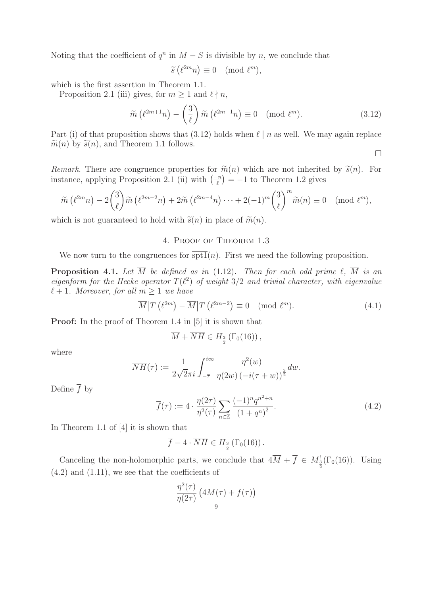Noting that the coefficient of  $q^n$  in  $M - S$  is divisible by n, we conclude that

$$
\widetilde{s}\left(\ell^{2m}n\right) \equiv 0 \pmod{\ell^m},
$$

which is the first assertion in Theorem 1.1.

Proposition 2.1 (iii) gives, for  $m \ge 1$  and  $\ell \nmid n$ ,

$$
\widetilde{m}\left(\ell^{2m+1}n\right) - \left(\frac{3}{\ell}\right)\widetilde{m}\left(\ell^{2m-1}n\right) \equiv 0 \pmod{\ell^m}.\tag{3.12}
$$

Part (i) of that proposition shows that (3.12) holds when  $\ell \mid n$  as well. We may again replace  $\widetilde{m}(n)$  by  $\widetilde{s}(n)$ , and Theorem 1.1 follows.

 $\Box$ 

Remark. There are congruence properties for  $\tilde{m}(n)$  which are not inherited by  $\tilde{s}(n)$ . For instance, applying Proposition 2.1 (ii) with  $\left(\frac{-n}{\ell}\right) = -1$  to Theorem 1.2 gives

$$
\widetilde{m}\left(\ell^{2m}n\right) - 2\left(\frac{3}{\ell}\right)\widetilde{m}\left(\ell^{2m-2}n\right) + 2\widetilde{m}\left(\ell^{2m-4}n\right)\cdots + 2(-1)^m\left(\frac{3}{\ell}\right)^m\widetilde{m}(n) \equiv 0 \pmod{\ell^m},
$$

which is not guaranteed to hold with  $\tilde{s}(n)$  in place of  $\tilde{m}(n)$ .

# 4. Proof of Theorem 1.3

We now turn to the congruences for  $\overline{\text{spt1}}(n)$ . First we need the following proposition.

**Proposition 4.1.** Let  $\overline{M}$  be defined as in (1.12). Then for each odd prime  $\ell$ ,  $\overline{M}$  is an eigenform for the Hecke operator  $T(\ell^2)$  of weight  $3/2$  and trivial character, with eigenvalue  $\ell + 1$ . Moreover, for all  $m \geq 1$  we have

$$
\overline{M}|T(\ell^{2m}) - \overline{M}|T(\ell^{2m-2}) \equiv 0 \pmod{\ell^m}.
$$
\n(4.1)

**Proof:** In the proof of Theorem 1.4 in [5] it is shown that

$$
\overline{M} + \overline{NH} \in H_{\frac{3}{2}}\left(\Gamma_0(16)\right),
$$

where

$$
\overline{NH}(\tau):=\frac{1}{2\sqrt{2}\pi i}\int_{-\overline{\tau}}^{i\infty}\frac{\eta^2(w)}{\eta(2w)\left(-i(\tau+w)\right)^{\frac{3}{2}}}dw.
$$

Define  $\overline{f}$  by

$$
\overline{f}(\tau) := 4 \cdot \frac{\eta(2\tau)}{\eta^2(\tau)} \sum_{n \in \mathbb{Z}} \frac{(-1)^n q^{n^2 + n}}{\left(1 + q^n\right)^2}.
$$
\n
$$
(4.2)
$$

In Theorem 1.1 of [4] it is shown that

$$
\overline{f} - 4 \cdot \overline{NH} \in H_{\frac{3}{2}}(\Gamma_0(16)).
$$

Canceling the non-holomorphic parts, we conclude that  $4\overline{M} + \overline{f} \in M_{\frac{3}{2}}^{1}(\Gamma_{0}(16))$ . Using  $(4.2)$  and  $(1.11)$ , we see that the coefficients of

$$
\frac{\eta^2(\tau)}{\eta(2\tau)}\left(4\overline M(\tau)+\overline f(\tau)\right)\\_9
$$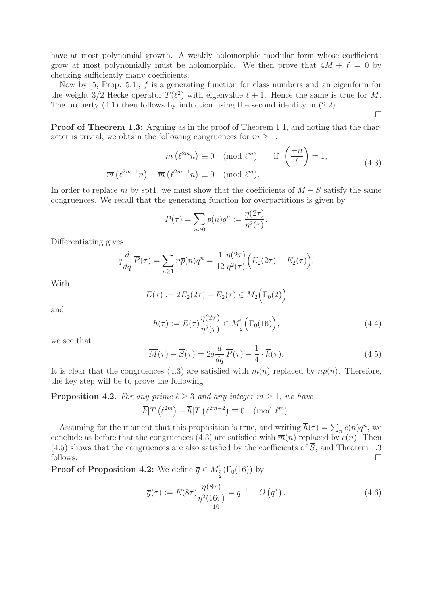have at most polynomial growth. A weakly holomorphic modular form whose coefficients grow at most polynomially must be holomorphic. We then prove that  $4\overline{M} + \overline{f} = 0$  by checking sufficiently many coefficients.

Now by [5, Prop. 5.1],  $\overline{f}$  is a generating function for class numbers and an eigenform for the weight  $3/2$  Hecke operator  $T(\ell^2)$  with eigenvalue  $\ell + 1$ . Hence the same is true for  $\overline{M}$ . The property (4.1) then follows by induction using the second identity in (2.2).

 $\Box$ 

**Proof of Theorem 1.3:** Arguing as in the proof of Theorem 1.1, and noting that the character is trivial, we obtain the following congruences for  $m \geq 1$ :

$$
\overline{m}(\ell^{2m}n) \equiv 0 \pmod{\ell^m} \quad \text{if } \left(\frac{-n}{\ell}\right) = 1,
$$
\n
$$
\overline{m}(\ell^{2m+1}n) - \overline{m}(\ell^{2m-1}n) \equiv 0 \pmod{\ell^m}.
$$
\n(4.3)

In order to replace  $\overline{m}$  by  $\overline{\text{spt1}}$ , we must show that the coefficients of  $\overline{M} - \overline{S}$  satisfy the same congruences. We recall that the generating function for overpartitions is given by

$$
\overline{P}(\tau) = \sum_{n\geq 0} \overline{p}(n)q^n := \frac{\eta(2\tau)}{\eta^2(\tau)}.
$$

Differentiating gives

$$
q\frac{d}{dq}\overline{P}(\tau) = \sum_{n\geq 1} n\overline{p}(n)q^n = \frac{1}{12}\frac{\eta(2\tau)}{\eta^2(\tau)}\Big(E_2(2\tau) - E_2(\tau)\Big).
$$

With

$$
E(\tau) := 2E_2(2\tau) - E_2(\tau) \in M_2(\Gamma_0(2))
$$

and

$$
\overline{h}(\tau) := E(\tau) \frac{\eta(2\tau)}{\eta^2(\tau)} \in M_{\frac{3}{2}}^{\mathfrak{l}} \left( \Gamma_0(16) \right), \tag{4.4}
$$

we see that

$$
\overline{M}(\tau) - \overline{S}(\tau) = 2q \frac{d}{dq} \overline{P}(\tau) - \frac{1}{4} \cdot \overline{h}(\tau).
$$
\n(4.5)

It is clear that the congruences (4.3) are satisfied with  $\overline{m}(n)$  replaced by  $n\overline{p}(n)$ . Therefore, the key step will be to prove the following

**Proposition 4.2.** For any prime  $\ell \geq 3$  and any integer  $m \geq 1$ , we have

$$
\overline{h}|T(\ell^{2m}) - \overline{h}|T(\ell^{2m-2}) \equiv 0 \pmod{\ell^m}.
$$

Assuming for the moment that this proposition is true, and writing  $\overline{h}(\tau) = \sum_n c(n)q^n$ , we conclude as before that the congruences (4.3) are satisfied with  $\overline{m}(n)$  replaced by  $c(n)$ . Then (4.5) shows that the congruences are also satisfied by the coefficients of  $\overline{S}$ , and Theorem 1.3 follows.  $\Box$  $\Box$ 

**Proof of Proposition 4.2:** We define  $\overline{g} \in M_{\frac{3}{2}}^{\text{!}}(\Gamma_0(16))$  by

$$
\overline{g}(\tau) := E(8\tau) \frac{\eta(8\tau)}{\eta^2(16\tau)} = q^{-1} + O(q^7).
$$
\n(4.6)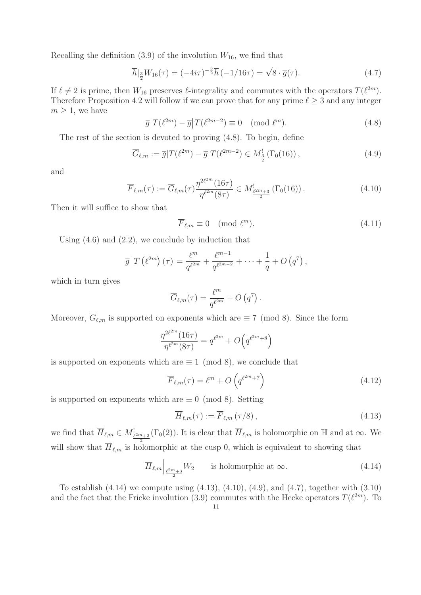Recalling the definition  $(3.9)$  of the involution  $W_{16}$ , we find that

$$
\overline{h}|_{\frac{3}{2}}W_{16}(\tau) = (-4i\tau)^{-\frac{3}{2}}\overline{h}(-1/16\tau) = \sqrt{8} \cdot \overline{g}(\tau). \tag{4.7}
$$

If  $\ell \neq 2$  is prime, then  $W_{16}$  preserves  $\ell$ -integrality and commutes with the operators  $T(\ell^{2m})$ . Therefore Proposition 4.2 will follow if we can prove that for any prime  $\ell \geq 3$  and any integer  $m \geq 1$ , we have

$$
\overline{g}|T(\ell^{2m}) - \overline{g}|T(\ell^{2m-2}) \equiv 0 \pmod{\ell^m}.
$$
\n(4.8)

The rest of the section is devoted to proving (4.8). To begin, define

$$
\overline{G}_{\ell,m} := \overline{g}|T(\ell^{2m}) - \overline{g}|T(\ell^{2m-2}) \in M_{\frac{3}{2}}^{\mathfrak{l}}(\Gamma_0(16)), \qquad (4.9)
$$

and

$$
\overline{F}_{\ell,m}(\tau) := \overline{G}_{\ell,m}(\tau) \frac{\eta^{2\ell^{2m}}(16\tau)}{\eta^{\ell^{2m}}(8\tau)} \in M_{\frac{\ell^{2m}+3}{2}}^! (\Gamma_0(16)). \tag{4.10}
$$

.

Then it will suffice to show that

$$
\overline{F}_{\ell,m} \equiv 0 \pmod{\ell^m}.\tag{4.11}
$$

Using  $(4.6)$  and  $(2.2)$ , we conclude by induction that

$$
\overline{g}\left|T\left(\ell^{2m}\right)(\tau\right) = \frac{\ell^m}{q^{\ell^{2m}}} + \frac{\ell^{m-1}}{q^{\ell^{2m-2}}} + \cdots + \frac{1}{q} + O\left(q^7\right),
$$

which in turn gives

$$
\overline{G}_{\ell,m}(\tau) = \frac{\ell^m}{q^{\ell^{2m}}} + O(q^7)
$$

Moreover,  $\overline{G}_{\ell,m}$  is supported on exponents which are  $\equiv 7 \pmod{8}$ . Since the form

$$
\frac{\eta^{2\ell^{2m}}(16\tau)}{\eta^{\ell^{2m}}(8\tau)} = q^{\ell^{2m}} + O(q^{\ell^{2m}+8})
$$

is supported on exponents which are  $\equiv 1 \pmod{8}$ , we conclude that

$$
\overline{F}_{\ell,m}(\tau) = \ell^m + O\left(q^{\ell^{2m}+7}\right)
$$
\n(4.12)

is supported on exponents which are  $\equiv 0 \pmod{8}$ . Setting

$$
\overline{H}_{\ell,m}(\tau) := \overline{F}_{\ell,m}(\tau/8),\tag{4.13}
$$

we find that  $\overline{H}_{\ell,m} \in M_{\frac{\ell^{2m}+3}{2}}^!$  $(\Gamma_0(2))$ . It is clear that  $\overline{H}_{\ell,m}$  is holomorphic on  $\mathbb H$  and at  $\infty$ . We will show that  $\overline{H}_{\ell,m}$  is holomorphic at the cusp 0, which is equivalent to showing that

$$
\overline{H}_{\ell,m} \Big|_{\frac{\ell^{2m}+3}{2}} W_2 \qquad \text{is holomorphic at } \infty. \tag{4.14}
$$

To establish  $(4.14)$  we compute using  $(4.13)$ ,  $(4.10)$ ,  $(4.9)$ , and  $(4.7)$ , together with  $(3.10)$ and the fact that the Fricke involution (3.9) commutes with the Hecke operators  $T(\ell^{2m})$ . To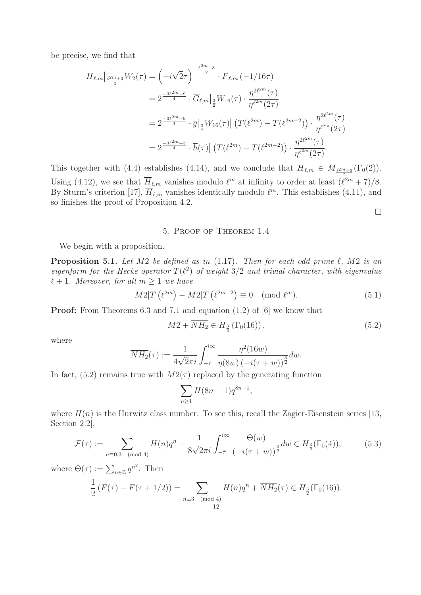be precise, we find that

$$
\overline{H}_{\ell,m}|_{\frac{\ell^{2m}+3}{2}}W_2(\tau) = \left(-i\sqrt{2}\tau\right)^{-\frac{\ell^{2m}+3}{2}} \cdot \overline{F}_{\ell,m}(-1/16\tau)
$$
\n
$$
= 2^{\frac{-3\ell^{2m}+9}{4}} \cdot \overline{G}_{\ell,m}|_{\frac{3}{2}}W_{16}(\tau) \cdot \frac{\eta^{2\ell^{2m}}(\tau)}{\eta^{\ell^{2m}}(2\tau)}
$$
\n
$$
= 2^{\frac{-3\ell^{2m}+9}{4}} \cdot \overline{g}|_{\frac{3}{2}}W_{16}(\tau)|\left(T(\ell^{2m}) - T(\ell^{2m-2})\right) \cdot \frac{\eta^{2\ell^{2m}}(\tau)}{\eta^{\ell^{2m}}(2\tau)}
$$
\n
$$
= 2^{\frac{-3\ell^{2m}+3}{4}} \cdot \overline{h}(\tau)|\left(T(\ell^{2m}) - T(\ell^{2m-2})\right) \cdot \frac{\eta^{2\ell^{2m}}(\tau)}{\eta^{\ell^{2m}}(2\tau)}.
$$

This together with (4.4) establishes (4.14), and we conclude that  $\overline{H}_{\ell,m} \in M_{\frac{\ell^{2m}+3}{2}}(\Gamma_0(2)).$ Using (4.12), we see that  $\overline{H}_{\ell,m}$  vanishes modulo  $\ell^m$  at infinity to order at least  $(\ell^{2m}+7)/8$ . By Sturm's criterion [17],  $\overline{H}_{\ell,m}$  vanishes identically modulo  $\ell^m$ . This establishes (4.11), and so finishes the proof of Proposition 4.2.

### 5. Proof of Theorem 1.4

We begin with a proposition.

**Proposition 5.1.** Let  $M2$  be defined as in  $(1.17)$ . Then for each odd prime  $\ell$ ,  $M2$  is an eigenform for the Hecke operator  $T(\ell^2)$  of weight  $3/2$  and trivial character, with eigenvalue  $\ell + 1$ . Moreover, for all  $m \geq 1$  we have

$$
M2|T(\ell^{2m}) - M2|T(\ell^{2m-2}) \equiv 0 \pmod{\ell^m}.
$$
 (5.1)

**Proof:** From Theorems 6.3 and 7.1 and equation (1.2) of [6] we know that

$$
M2 + \overline{NH_2} \in H_{\frac{3}{2}}(\Gamma_0(16)), \tag{5.2}
$$

 $\Box$ 

where

$$
\overline{NH_2}(\tau) := \frac{1}{4\sqrt{2\pi i}} \int_{-\overline{\tau}}^{i\infty} \frac{\eta^2 (16w)}{\eta(8w) \left(-i(\tau+w)\right)^{\frac{3}{2}}} dw.
$$

In fact, (5.2) remains true with  $M2(\tau)$  replaced by the generating function

$$
\sum_{n\geq 1} H(8n-1)q^{8n-1},
$$

where  $H(n)$  is the Hurwitz class number. To see this, recall the Zagier-Eisenstein series [13, Section 2.2],

$$
\mathcal{F}(\tau) := \sum_{n \equiv 0,3 \pmod{4}} H(n)q^n + \frac{1}{8\sqrt{2}\pi i} \int_{-\overline{\tau}}^{i\infty} \frac{\Theta(w)}{\left(-i(\tau+w)\right)^{\frac{3}{2}}} dw \in H_{\frac{3}{2}}(\Gamma_0(4)),\tag{5.3}
$$

where  $\Theta(\tau) := \sum_{n \in \mathbb{Z}} q^{n^2}$ . Then 1

$$
\frac{1}{2}\left(F(\tau) - F(\tau + 1/2)\right) = \sum_{\substack{n \equiv 3 \pmod{4} \\ 12}} H(n)q^n + \overline{NH_2}(\tau) \in H_{\frac{3}{2}}(\Gamma_0(16)).
$$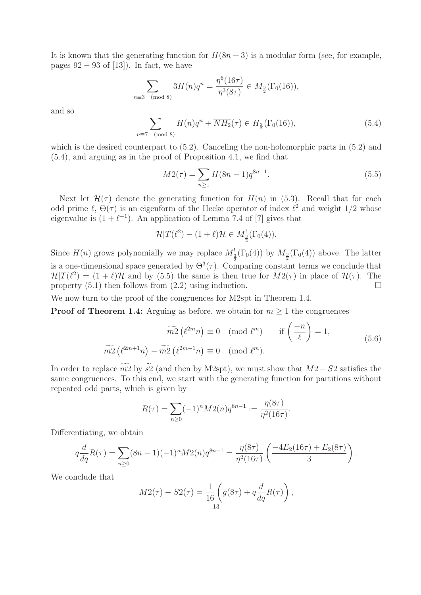It is known that the generating function for  $H(8n+3)$  is a modular form (see, for example, pages  $92 - 93$  of [13]). In fact, we have

$$
\sum_{n\equiv 3\pmod{8}} 3H(n)q^n = \frac{\eta^6(16\tau)}{\eta^3(8\tau)} \in M_{\frac{3}{2}}(\Gamma_0(16)),
$$

and so

$$
\sum_{n\equiv 7\pmod{8}} H(n)q^n + \overline{NH_2}(\tau) \in H_{\frac{3}{2}}(\Gamma_0(16)),\tag{5.4}
$$

which is the desired counterpart to  $(5.2)$ . Canceling the non-holomorphic parts in  $(5.2)$  and (5.4), and arguing as in the proof of Proposition 4.1, we find that

$$
M2(\tau) = \sum_{n\geq 1} H(8n-1)q^{8n-1}.
$$
\n(5.5)

Next let  $\mathcal{H}(\tau)$  denote the generating function for  $H(n)$  in (5.3). Recall that for each odd prime  $\ell$ ,  $\Theta(\tau)$  is an eigenform of the Hecke operator of index  $\ell^2$  and weight 1/2 whose eigenvalue is  $(1 + \ell^{-1})$ . An application of Lemma 7.4 of [7] gives that

$$
\mathcal{H}|T(\ell^2) - (1+\ell)\mathcal{H} \in M^!_{\frac{3}{2}}(\Gamma_0(4)).
$$

Since  $H(n)$  grows polynomially we may replace  $M_{\frac{3}{2}}^{1}(\Gamma_{0}(4))$  by  $M_{\frac{3}{2}}(\Gamma_{0}(4))$  above. The latter is a one-dimensional space generated by  $\Theta^3(\tau)$ . Comparing constant terms we conclude that  $\mathcal{H}|T(\ell^2)=(1+\ell)\mathcal{H}$  and by (5.5) the same is then true for  $M2(\tau)$  in place of  $\mathcal{H}(\tau)$ . The property  $(5.1)$  then follows from  $(2.2)$  using induction.  $\Box$ 

We now turn to the proof of the congruences for M2spt in Theorem 1.4.

**Proof of Theorem 1.4:** Arguing as before, we obtain for  $m \geq 1$  the congruences

$$
\widetilde{m2} \left( \ell^{2m} n \right) \equiv 0 \pmod{\ell^m} \quad \text{if } \left( \frac{-n}{\ell} \right) = 1,
$$
  

$$
\widetilde{m2} \left( \ell^{2m+1} n \right) - \widetilde{m2} \left( \ell^{2m-1} n \right) \equiv 0 \pmod{\ell^m}.
$$
 (5.6)

In order to replace  $m2$  by s2 (and then by M2spt), we must show that  $M2-S2$  satisfies the same congruences. To this end, we start with the generating function for partitions without repeated odd parts, which is given by

$$
R(\tau) = \sum_{n\geq 0} (-1)^n M 2(n) q^{8n-1} := \frac{\eta(8\tau)}{\eta^2(16\tau)}.
$$

Differentiating, we obtain

$$
q\frac{d}{dq}R(\tau) = \sum_{n\geq 0} (8n-1)(-1)^n M 2(n) q^{8n-1} = \frac{\eta(8\tau)}{\eta^2(16\tau)} \left(\frac{-4E_2(16\tau) + E_2(8\tau)}{3}\right).
$$

We conclude that

$$
M2(\tau) - S2(\tau) = \frac{1}{16} \left( \overline{g}(8\tau) + q \frac{d}{dq} R(\tau) \right),
$$